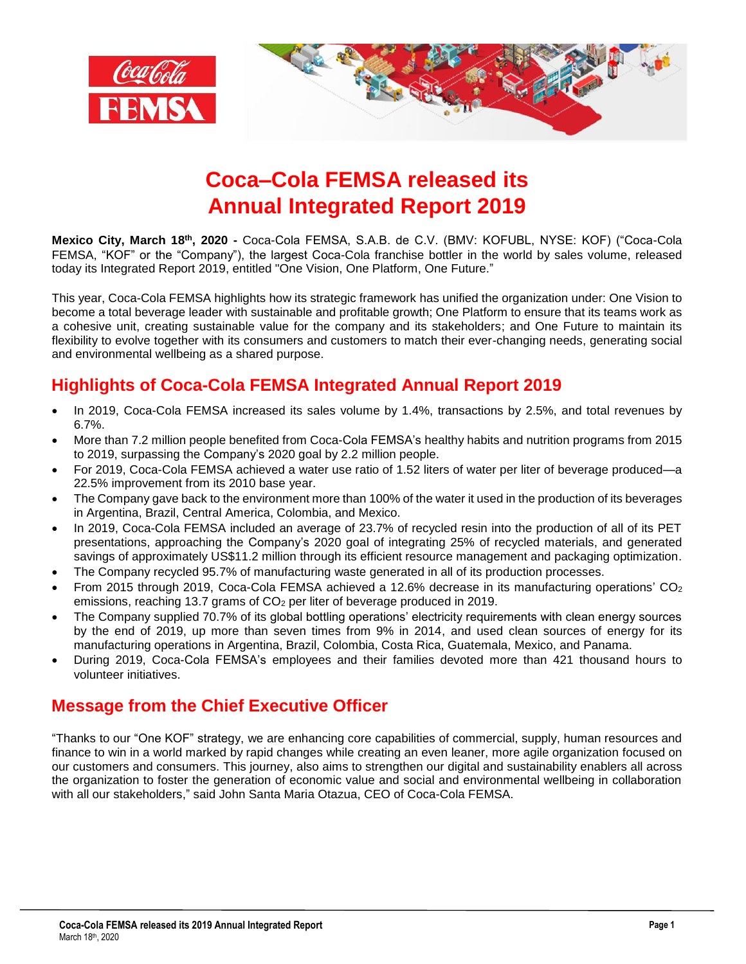

# **Coca–Cola FEMSA released its Annual Integrated Report 2019**

**Mexico City, March 18 th, 2020 -** Coca-Cola FEMSA, S.A.B. de C.V. (BMV: KOFUBL, NYSE: KOF) ("Coca-Cola FEMSA, "KOF" or the "Company"), the largest Coca-Cola franchise bottler in the world by sales volume, released today its Integrated Report 2019, entitled "One Vision, One Platform, One Future."

This year, Coca-Cola FEMSA highlights how its strategic framework has unified the organization under: One Vision to become a total beverage leader with sustainable and profitable growth; One Platform to ensure that its teams work as a cohesive unit, creating sustainable value for the company and its stakeholders; and One Future to maintain its flexibility to evolve together with its consumers and customers to match their ever-changing needs, generating social and environmental wellbeing as a shared purpose.

## **Highlights of Coca-Cola FEMSA Integrated Annual Report 2019**

- In 2019, Coca-Cola FEMSA increased its sales volume by 1.4%, transactions by 2.5%, and total revenues by 6.7%.
- More than 7.2 million people benefited from Coca-Cola FEMSA's healthy habits and nutrition programs from 2015 to 2019, surpassing the Company's 2020 goal by 2.2 million people.
- For 2019, Coca-Cola FEMSA achieved a water use ratio of 1.52 liters of water per liter of beverage produced—a 22.5% improvement from its 2010 base year.
- The Company gave back to the environment more than 100% of the water it used in the production of its beverages in Argentina, Brazil, Central America, Colombia, and Mexico.
- In 2019, Coca-Cola FEMSA included an average of 23.7% of recycled resin into the production of all of its PET presentations, approaching the Company's 2020 goal of integrating 25% of recycled materials, and generated savings of approximately US\$11.2 million through its efficient resource management and packaging optimization.
- The Company recycled 95.7% of manufacturing waste generated in all of its production processes.
- From 2015 through 2019, Coca-Cola FEMSA achieved a 12.6% decrease in its manufacturing operations' CO<sup>2</sup> emissions, reaching 13.7 grams of CO<sub>2</sub> per liter of beverage produced in 2019.
- The Company supplied 70.7% of its global bottling operations' electricity requirements with clean energy sources by the end of 2019, up more than seven times from 9% in 2014, and used clean sources of energy for its manufacturing operations in Argentina, Brazil, Colombia, Costa Rica, Guatemala, Mexico, and Panama.
- During 2019, Coca-Cola FEMSA's employees and their families devoted more than 421 thousand hours to volunteer initiatives.

### **Message from the Chief Executive Officer**

"Thanks to our "One KOF" strategy, we are enhancing core capabilities of commercial, supply, human resources and finance to win in a world marked by rapid changes while creating an even leaner, more agile organization focused on our customers and consumers. This journey, also aims to strengthen our digital and sustainability enablers all across the organization to foster the generation of economic value and social and environmental wellbeing in collaboration with all our stakeholders," said John Santa Maria Otazua, CEO of Coca-Cola FEMSA.